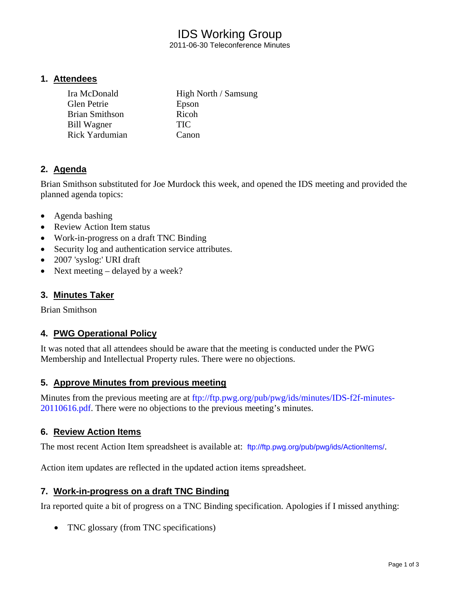# IDS Working Group

2011-06-30 Teleconference Minutes

#### **1. Attendees**

| Ira McDonald          | High North / Samsung |
|-----------------------|----------------------|
| Glen Petrie           | Epson                |
| <b>Brian Smithson</b> | Ricoh                |
| <b>Bill Wagner</b>    | <b>TIC</b>           |
| <b>Rick Yardumian</b> | Canon                |

## **2. Agenda**

Brian Smithson substituted for Joe Murdock this week, and opened the IDS meeting and provided the planned agenda topics:

- Agenda bashing
- Review Action Item status
- Work-in-progress on a draft TNC Binding
- Security log and authentication service attributes.
- 2007 'syslog:' URI draft
- Next meeting delayed by a week?

#### **3. Minutes Taker**

Brian Smithson

#### **4. PWG Operational Policy**

It was noted that all attendees should be aware that the meeting is conducted under the PWG Membership and Intellectual Property rules. There were no objections.

#### **5. Approve Minutes from previous meeting**

Minutes from the previous meeting are at ftp://ftp.pwg.org/pub/pwg/ids/minutes/IDS-f2f-minutes-20110616.pdf. There were no objections to the previous meeting's minutes.

#### **6. Review Action Items**

The most recent Action Item spreadsheet is available at: ftp://ftp.pwg.org/pub/pwg/ids/ActionItems/.

Action item updates are reflected in the updated action items spreadsheet.

#### **7. Work-in-progress on a draft TNC Binding**

Ira reported quite a bit of progress on a TNC Binding specification. Apologies if I missed anything:

• TNC glossary (from TNC specifications)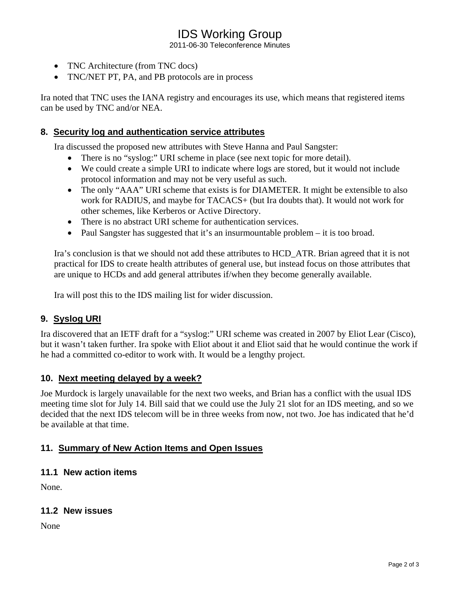## IDS Working Group

2011-06-30 Teleconference Minutes

- TNC Architecture (from TNC docs)
- TNC/NET PT, PA, and PB protocols are in process

Ira noted that TNC uses the IANA registry and encourages its use, which means that registered items can be used by TNC and/or NEA.

### **8. Security log and authentication service attributes**

Ira discussed the proposed new attributes with Steve Hanna and Paul Sangster:

- There is no "syslog:" URI scheme in place (see next topic for more detail).
- We could create a simple URI to indicate where logs are stored, but it would not include protocol information and may not be very useful as such.
- The only "AAA" URI scheme that exists is for DIAMETER. It might be extensible to also work for RADIUS, and maybe for TACACS+ (but Ira doubts that). It would not work for other schemes, like Kerberos or Active Directory.
- There is no abstract URI scheme for authentication services.
- Paul Sangster has suggested that it's an insurmountable problem it is too broad.

Ira's conclusion is that we should not add these attributes to HCD\_ATR. Brian agreed that it is not practical for IDS to create health attributes of general use, but instead focus on those attributes that are unique to HCDs and add general attributes if/when they become generally available.

Ira will post this to the IDS mailing list for wider discussion.

## **9. Syslog URI**

Ira discovered that an IETF draft for a "syslog:" URI scheme was created in 2007 by Eliot Lear (Cisco), but it wasn't taken further. Ira spoke with Eliot about it and Eliot said that he would continue the work if he had a committed co-editor to work with. It would be a lengthy project.

#### **10. Next meeting delayed by a week?**

Joe Murdock is largely unavailable for the next two weeks, and Brian has a conflict with the usual IDS meeting time slot for July 14. Bill said that we could use the July 21 slot for an IDS meeting, and so we decided that the next IDS telecom will be in three weeks from now, not two. Joe has indicated that he'd be available at that time.

## **11. Summary of New Action Items and Open Issues**

#### **11.1 New action items**

None.

#### **11.2 New issues**

None